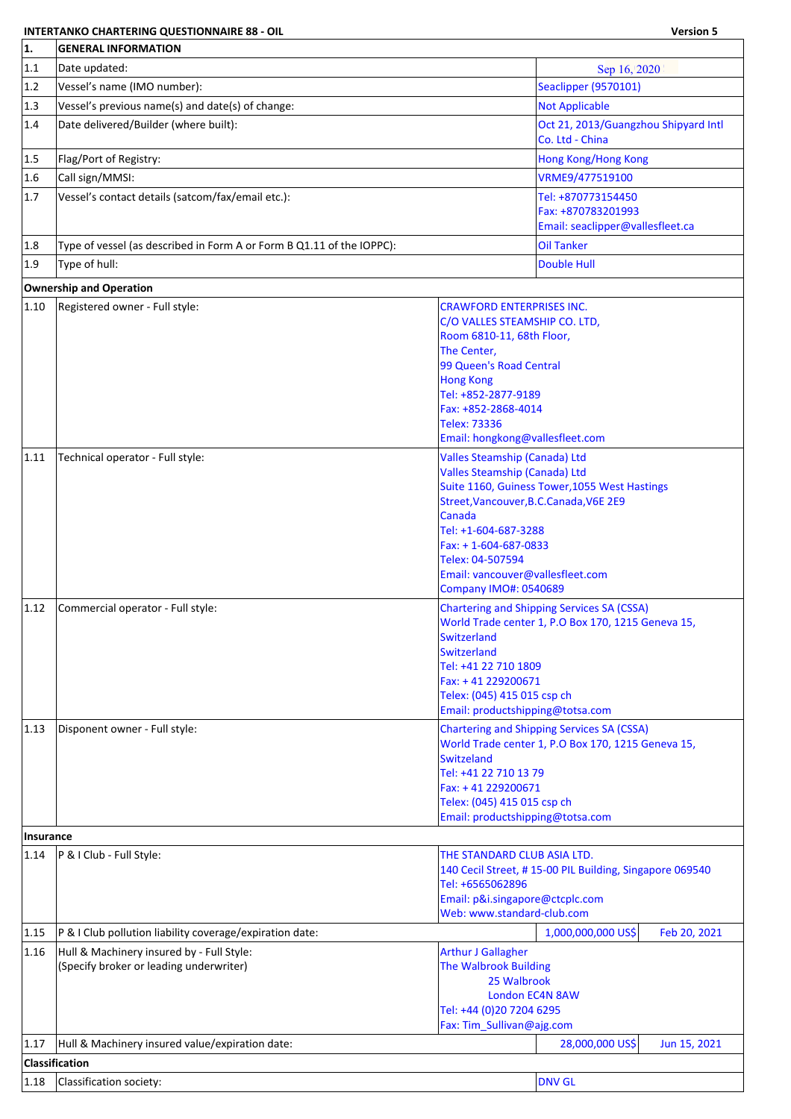## **INTERTANKO CHARTERING QUESTIONNAIRE 88 - OIL Version 5**

٦

| 1.               | <b>GENERAL INFORMATION</b>                                            |                                                       |                                                                                                         |  |  |
|------------------|-----------------------------------------------------------------------|-------------------------------------------------------|---------------------------------------------------------------------------------------------------------|--|--|
| 1.1              | Date updated:                                                         |                                                       | Sep 16, 2020                                                                                            |  |  |
| 1.2              | Vessel's name (IMO number):                                           |                                                       | <b>Seaclipper (9570101)</b>                                                                             |  |  |
| 1.3              | Vessel's previous name(s) and date(s) of change:                      |                                                       | <b>Not Applicable</b>                                                                                   |  |  |
| 1.4              | Date delivered/Builder (where built):                                 |                                                       | Oct 21, 2013/Guangzhou Shipyard Intl<br>Co. Ltd - China                                                 |  |  |
| 1.5              | Flag/Port of Registry:                                                |                                                       | <b>Hong Kong/Hong Kong</b>                                                                              |  |  |
| 1.6              | Call sign/MMSI:                                                       |                                                       | VRME9/477519100                                                                                         |  |  |
| 1.7              | Vessel's contact details (satcom/fax/email etc.):                     |                                                       | Tel: +870773154450                                                                                      |  |  |
|                  |                                                                       |                                                       | Fax: +870783201993                                                                                      |  |  |
|                  |                                                                       |                                                       | Email: seaclipper@vallesfleet.ca                                                                        |  |  |
| 1.8              | Type of vessel (as described in Form A or Form B Q1.11 of the IOPPC): |                                                       | <b>Oil Tanker</b>                                                                                       |  |  |
| 1.9              | Type of hull:                                                         |                                                       | <b>Double Hull</b>                                                                                      |  |  |
|                  | <b>Ownership and Operation</b>                                        |                                                       |                                                                                                         |  |  |
| 1.10             | Registered owner - Full style:                                        | <b>CRAWFORD ENTERPRISES INC.</b>                      |                                                                                                         |  |  |
|                  |                                                                       | C/O VALLES STEAMSHIP CO. LTD,                         |                                                                                                         |  |  |
|                  |                                                                       | Room 6810-11, 68th Floor,                             |                                                                                                         |  |  |
|                  |                                                                       | The Center,                                           |                                                                                                         |  |  |
|                  |                                                                       | 99 Queen's Road Central                               |                                                                                                         |  |  |
|                  |                                                                       | <b>Hong Kong</b><br>Tel: +852-2877-9189               |                                                                                                         |  |  |
|                  |                                                                       | Fax: +852-2868-4014                                   |                                                                                                         |  |  |
|                  |                                                                       | <b>Telex: 73336</b>                                   |                                                                                                         |  |  |
|                  |                                                                       | Email: hongkong@vallesfleet.com                       |                                                                                                         |  |  |
| 1.11             | Technical operator - Full style:                                      | Valles Steamship (Canada) Ltd                         |                                                                                                         |  |  |
|                  |                                                                       | <b>Valles Steamship (Canada) Ltd</b>                  |                                                                                                         |  |  |
|                  |                                                                       |                                                       | Suite 1160, Guiness Tower, 1055 West Hastings                                                           |  |  |
|                  |                                                                       | Street, Vancouver, B.C. Canada, V6E 2E9<br>Canada     |                                                                                                         |  |  |
|                  |                                                                       | Tel: +1-604-687-3288                                  |                                                                                                         |  |  |
|                  |                                                                       | Fax: +1-604-687-0833                                  |                                                                                                         |  |  |
|                  |                                                                       | Telex: 04-507594                                      |                                                                                                         |  |  |
|                  |                                                                       | Email: vancouver@vallesfleet.com                      |                                                                                                         |  |  |
|                  |                                                                       | <b>Company IMO#: 0540689</b>                          |                                                                                                         |  |  |
| 1.12             | Commercial operator - Full style:                                     |                                                       | <b>Chartering and Shipping Services SA (CSSA)</b><br>World Trade center 1, P.O Box 170, 1215 Geneva 15, |  |  |
|                  |                                                                       | Switzerland                                           |                                                                                                         |  |  |
|                  |                                                                       | <b>Switzerland</b>                                    |                                                                                                         |  |  |
|                  |                                                                       | Tel: +41 22 710 1809                                  |                                                                                                         |  |  |
|                  |                                                                       | Fax: +41 229200671<br>Telex: (045) 415 015 csp ch     |                                                                                                         |  |  |
|                  |                                                                       | Email: productshipping@totsa.com                      |                                                                                                         |  |  |
| 1.13             | Disponent owner - Full style:                                         |                                                       | <b>Chartering and Shipping Services SA (CSSA)</b>                                                       |  |  |
|                  |                                                                       |                                                       | World Trade center 1, P.O Box 170, 1215 Geneva 15,                                                      |  |  |
|                  |                                                                       | Switzeland<br>Tel: +41 22 710 13 79                   |                                                                                                         |  |  |
|                  |                                                                       | Fax: +41 229200671                                    |                                                                                                         |  |  |
|                  |                                                                       | Telex: (045) 415 015 csp ch                           |                                                                                                         |  |  |
|                  |                                                                       | Email: productshipping@totsa.com                      |                                                                                                         |  |  |
| <b>Insurance</b> |                                                                       |                                                       |                                                                                                         |  |  |
| 1.14             | P & I Club - Full Style:                                              | THE STANDARD CLUB ASIA LTD.                           |                                                                                                         |  |  |
|                  |                                                                       |                                                       | 140 Cecil Street, #15-00 PIL Building, Singapore 069540                                                 |  |  |
|                  |                                                                       | Tel: +6565062896<br>Email: p&i.singapore@ctcplc.com   |                                                                                                         |  |  |
|                  |                                                                       | Web: www.standard-club.com                            |                                                                                                         |  |  |
| 1.15             | P & I Club pollution liability coverage/expiration date:              |                                                       | 1,000,000,000 US\$<br>Feb 20, 2021                                                                      |  |  |
| 1.16             | Hull & Machinery insured by - Full Style:                             | <b>Arthur J Gallagher</b>                             |                                                                                                         |  |  |
|                  | (Specify broker or leading underwriter)                               | <b>The Walbrook Building</b>                          |                                                                                                         |  |  |
|                  |                                                                       | 25 Walbrook                                           |                                                                                                         |  |  |
|                  |                                                                       |                                                       | <b>London EC4N 8AW</b>                                                                                  |  |  |
|                  |                                                                       | Tel: +44 (0)20 7204 6295<br>Fax: Tim_Sullivan@ajg.com |                                                                                                         |  |  |
| 1.17             | Hull & Machinery insured value/expiration date:                       |                                                       | 28,000,000 US\$<br>Jun 15, 2021                                                                         |  |  |
|                  |                                                                       |                                                       |                                                                                                         |  |  |
|                  | <b>Classification</b>                                                 |                                                       |                                                                                                         |  |  |
| 1.18             | Classification society:                                               |                                                       | <b>DNV GL</b>                                                                                           |  |  |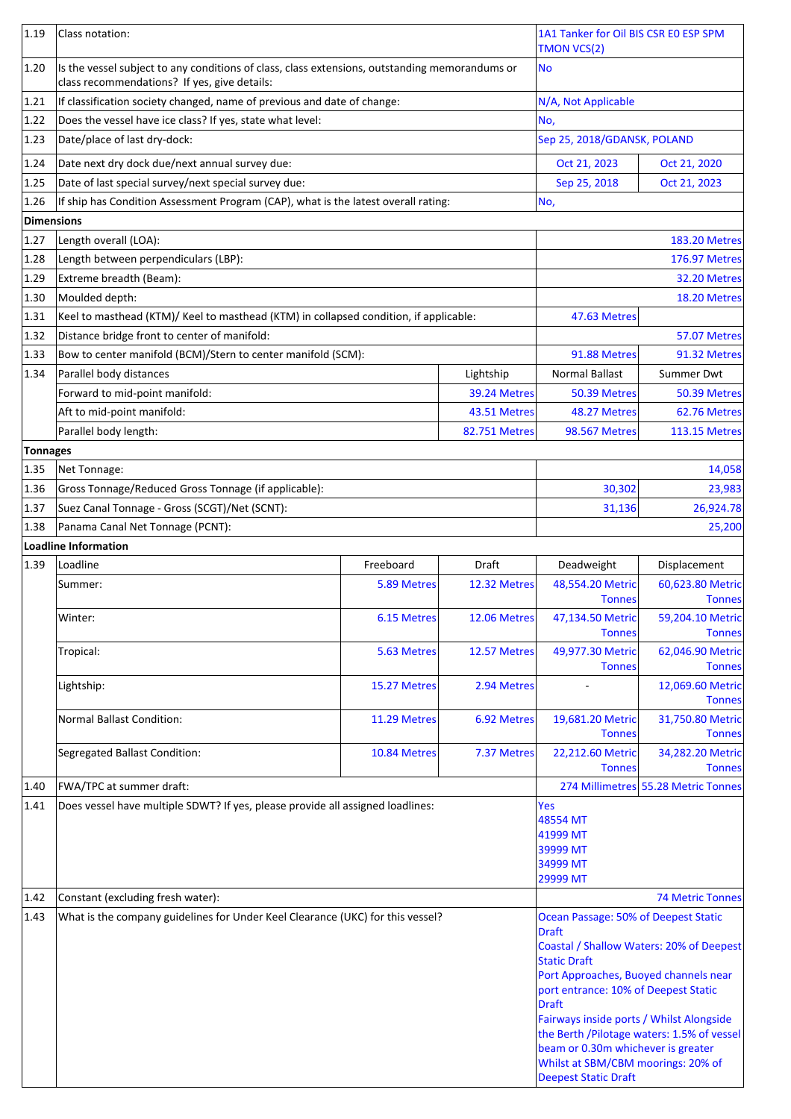| 1.19       | Class notation:                                                                                                                                |              |                      | 1A1 Tanker for Oil BIS CSR EO ESP SPM<br><b>TMON VCS(2)</b>                                                                                                                                                                                                    |                                                                                         |
|------------|------------------------------------------------------------------------------------------------------------------------------------------------|--------------|----------------------|----------------------------------------------------------------------------------------------------------------------------------------------------------------------------------------------------------------------------------------------------------------|-----------------------------------------------------------------------------------------|
| 1.20       | Is the vessel subject to any conditions of class, class extensions, outstanding memorandums or<br>class recommendations? If yes, give details: |              |                      | No                                                                                                                                                                                                                                                             |                                                                                         |
| 1.21       | If classification society changed, name of previous and date of change:                                                                        |              |                      | N/A, Not Applicable                                                                                                                                                                                                                                            |                                                                                         |
| 1.22       | Does the vessel have ice class? If yes, state what level:                                                                                      |              |                      | No,                                                                                                                                                                                                                                                            |                                                                                         |
| 1.23       | Date/place of last dry-dock:                                                                                                                   |              |                      | Sep 25, 2018/GDANSK, POLAND                                                                                                                                                                                                                                    |                                                                                         |
| 1.24       | Date next dry dock due/next annual survey due:                                                                                                 |              |                      | Oct 21, 2023                                                                                                                                                                                                                                                   | Oct 21, 2020                                                                            |
| 1.25       | Date of last special survey/next special survey due:                                                                                           |              |                      | Sep 25, 2018                                                                                                                                                                                                                                                   | Oct 21, 2023                                                                            |
| 1.26       | If ship has Condition Assessment Program (CAP), what is the latest overall rating:                                                             |              |                      | No,                                                                                                                                                                                                                                                            |                                                                                         |
| Dimensions |                                                                                                                                                |              |                      |                                                                                                                                                                                                                                                                |                                                                                         |
| 1.27       | Length overall (LOA):                                                                                                                          |              |                      |                                                                                                                                                                                                                                                                | <b>183.20 Metres</b>                                                                    |
| 1.28       | Length between perpendiculars (LBP):                                                                                                           |              |                      |                                                                                                                                                                                                                                                                | <b>176.97 Metres</b>                                                                    |
| 1.29       | Extreme breadth (Beam):                                                                                                                        |              |                      |                                                                                                                                                                                                                                                                | 32.20 Metres                                                                            |
| 1.30       | Moulded depth:                                                                                                                                 |              |                      |                                                                                                                                                                                                                                                                | 18.20 Metres                                                                            |
| 1.31       | Keel to masthead (KTM)/ Keel to masthead (KTM) in collapsed condition, if applicable:                                                          |              |                      | 47.63 Metres                                                                                                                                                                                                                                                   |                                                                                         |
| 1.32       | Distance bridge front to center of manifold:                                                                                                   |              |                      |                                                                                                                                                                                                                                                                | 57.07 Metres                                                                            |
| 1.33       | Bow to center manifold (BCM)/Stern to center manifold (SCM):                                                                                   |              |                      | 91.88 Metres                                                                                                                                                                                                                                                   | 91.32 Metres                                                                            |
| 1.34       | Parallel body distances                                                                                                                        |              | Lightship            | <b>Normal Ballast</b>                                                                                                                                                                                                                                          | Summer Dwt                                                                              |
|            | Forward to mid-point manifold:                                                                                                                 |              | 39.24 Metres         | 50.39 Metres                                                                                                                                                                                                                                                   | 50.39 Metres                                                                            |
|            | Aft to mid-point manifold:                                                                                                                     |              | 43.51 Metres         | 48.27 Metres                                                                                                                                                                                                                                                   | 62.76 Metres                                                                            |
|            | Parallel body length:                                                                                                                          |              | <b>82.751 Metres</b> | <b>98.567 Metres</b>                                                                                                                                                                                                                                           | <b>113.15 Metres</b>                                                                    |
| Tonnages   |                                                                                                                                                |              |                      |                                                                                                                                                                                                                                                                |                                                                                         |
| 1.35       | Net Tonnage:                                                                                                                                   |              |                      |                                                                                                                                                                                                                                                                | 14,058                                                                                  |
| 1.36       | Gross Tonnage/Reduced Gross Tonnage (if applicable):                                                                                           |              |                      | 30,302                                                                                                                                                                                                                                                         | 23,983                                                                                  |
| 1.37       | Suez Canal Tonnage - Gross (SCGT)/Net (SCNT):                                                                                                  |              |                      | 31,136                                                                                                                                                                                                                                                         | 26,924.78                                                                               |
| 1.38       | Panama Canal Net Tonnage (PCNT):                                                                                                               |              |                      |                                                                                                                                                                                                                                                                | 25,200                                                                                  |
|            | Loadline Information                                                                                                                           |              |                      |                                                                                                                                                                                                                                                                |                                                                                         |
| 1.39       | Loadline                                                                                                                                       | Freeboard    | Draft                | Deadweight                                                                                                                                                                                                                                                     | Displacement                                                                            |
|            | Summer:                                                                                                                                        | 5.89 Metres  | 12.32 Metres         | 48,554.20 Metric<br><b>Tonnes</b>                                                                                                                                                                                                                              | 60,623.80 Metric<br><b>Tonnes</b>                                                       |
|            | Winter:                                                                                                                                        | 6.15 Metres  | 12.06 Metres         | 47,134.50 Metric<br><b>Tonnes</b>                                                                                                                                                                                                                              | 59,204.10 Metric<br><b>Tonnes</b>                                                       |
|            | Tropical:                                                                                                                                      | 5.63 Metres  | 12.57 Metres         | 49,977.30 Metric<br><b>Tonnes</b>                                                                                                                                                                                                                              | 62,046.90 Metric<br><b>Tonnes</b>                                                       |
|            | Lightship:                                                                                                                                     | 15.27 Metres | 2.94 Metres          |                                                                                                                                                                                                                                                                | 12,069.60 Metric<br><b>Tonnes</b>                                                       |
|            | <b>Normal Ballast Condition:</b>                                                                                                               | 11.29 Metres | 6.92 Metres          | 19,681.20 Metric<br><b>Tonnes</b>                                                                                                                                                                                                                              | 31,750.80 Metric<br><b>Tonnes</b>                                                       |
|            | Segregated Ballast Condition:                                                                                                                  | 10.84 Metres | 7.37 Metres          | 22,212.60 Metric<br><b>Tonnes</b>                                                                                                                                                                                                                              | 34,282.20 Metric<br><b>Tonnes</b>                                                       |
| 1.40       | FWA/TPC at summer draft:                                                                                                                       |              |                      |                                                                                                                                                                                                                                                                | 274 Millimetres 55.28 Metric Tonnes                                                     |
| 1.41       | Does vessel have multiple SDWT? If yes, please provide all assigned loadlines:                                                                 |              |                      | Yes<br>48554 MT<br>41999 MT<br>39999 MT<br>34999 MT<br>29999 MT                                                                                                                                                                                                |                                                                                         |
| 1.42       | Constant (excluding fresh water):                                                                                                              |              |                      |                                                                                                                                                                                                                                                                | <b>74 Metric Tonnes</b>                                                                 |
| 1.43       | What is the company guidelines for Under Keel Clearance (UKC) for this vessel?                                                                 |              |                      | Ocean Passage: 50% of Deepest Static<br><b>Draft</b><br><b>Static Draft</b><br>Port Approaches, Buoyed channels near<br>port entrance: 10% of Deepest Static<br><b>Draft</b><br>Fairways inside ports / Whilst Alongside<br>beam or 0.30m whichever is greater | Coastal / Shallow Waters: 20% of Deepest<br>the Berth / Pilotage waters: 1.5% of vessel |
|            |                                                                                                                                                |              |                      | Whilst at SBM/CBM moorings: 20% of<br><b>Deepest Static Draft</b>                                                                                                                                                                                              |                                                                                         |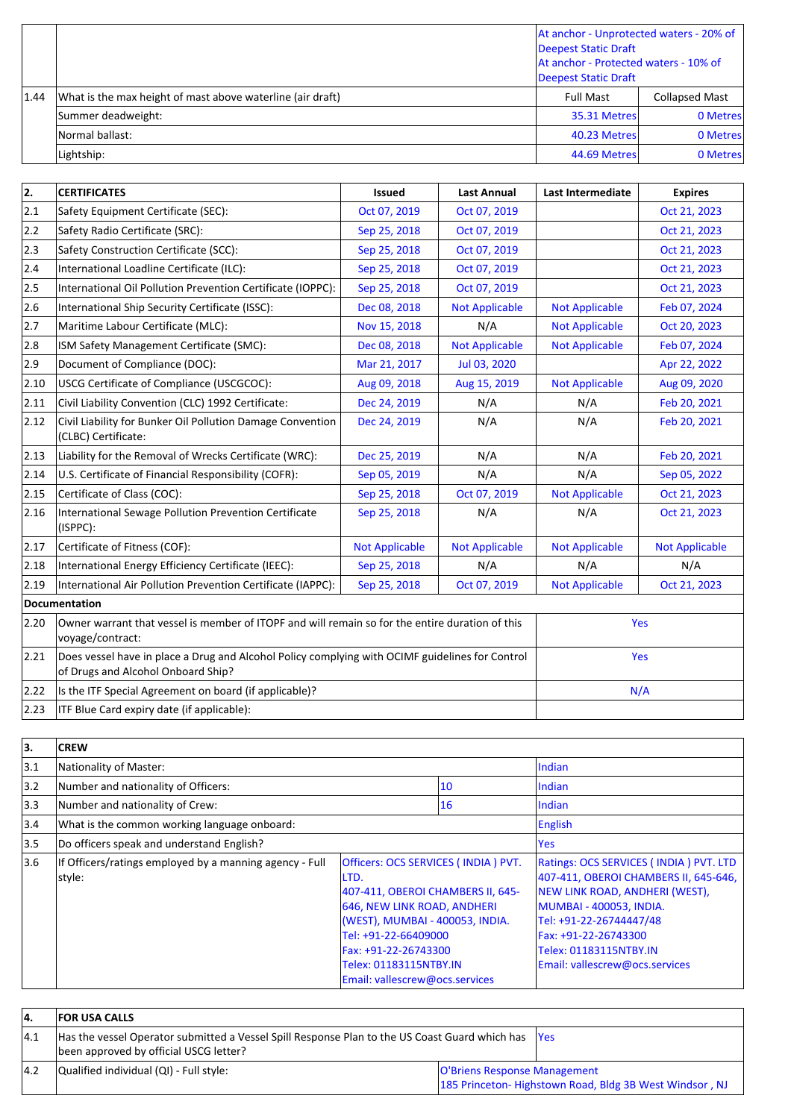|      |                                                            | At anchor - Unprotected waters - 20% of<br>Deepest Static Draft<br>At anchor - Protected waters - 10% of<br>Deepest Static Draft |                       |
|------|------------------------------------------------------------|----------------------------------------------------------------------------------------------------------------------------------|-----------------------|
| 1.44 | What is the max height of mast above waterline (air draft) | <b>Full Mast</b>                                                                                                                 | <b>Collapsed Mast</b> |
|      | Summer deadweight:                                         | 35.31 Metres                                                                                                                     | 0 Metres              |
|      | Normal ballast:                                            | 40.23 Metres                                                                                                                     | 0 Metres              |
|      | Lightship:                                                 | 44.69 Metres                                                                                                                     | 0 Metres              |

| 2.             | <b>CERTIFICATES</b>                                                                                                                   | <b>Issued</b>         | <b>Last Annual</b>    | <b>Last Intermediate</b> | <b>Expires</b>        |
|----------------|---------------------------------------------------------------------------------------------------------------------------------------|-----------------------|-----------------------|--------------------------|-----------------------|
| 2.1            | Safety Equipment Certificate (SEC):                                                                                                   | Oct 07, 2019          | Oct 07, 2019          |                          | Oct 21, 2023          |
| 2.2            | Safety Radio Certificate (SRC):                                                                                                       | Sep 25, 2018          | Oct 07, 2019          |                          | Oct 21, 2023          |
| 2.3            | Safety Construction Certificate (SCC):                                                                                                | Sep 25, 2018          | Oct 07, 2019          |                          | Oct 21, 2023          |
| 2.4            | International Loadline Certificate (ILC):                                                                                             | Sep 25, 2018          | Oct 07, 2019          |                          | Oct 21, 2023          |
| 2.5            | International Oil Pollution Prevention Certificate (IOPPC):                                                                           | Sep 25, 2018          | Oct 07, 2019          |                          | Oct 21, 2023          |
| 2.6            | International Ship Security Certificate (ISSC):                                                                                       | Dec 08, 2018          | <b>Not Applicable</b> | <b>Not Applicable</b>    | Feb 07, 2024          |
| 2.7            | Maritime Labour Certificate (MLC):                                                                                                    | Nov 15, 2018          | N/A                   | <b>Not Applicable</b>    | Oct 20, 2023          |
| 2.8            | ISM Safety Management Certificate (SMC):                                                                                              | Dec 08, 2018          | <b>Not Applicable</b> | <b>Not Applicable</b>    | Feb 07, 2024          |
| 2.9            | Document of Compliance (DOC):                                                                                                         | Mar 21, 2017          | Jul 03, 2020          |                          | Apr 22, 2022          |
| 2.10           | USCG Certificate of Compliance (USCGCOC):                                                                                             | Aug 09, 2018          | Aug 15, 2019          | <b>Not Applicable</b>    | Aug 09, 2020          |
| 2.11           | Civil Liability Convention (CLC) 1992 Certificate:                                                                                    | Dec 24, 2019          | N/A                   | N/A                      | Feb 20, 2021          |
| 2.12           | Civil Liability for Bunker Oil Pollution Damage Convention<br>(CLBC) Certificate:                                                     | Dec 24, 2019          | N/A                   | N/A                      | Feb 20, 2021          |
| $ 2.13\rangle$ | Liability for the Removal of Wrecks Certificate (WRC):                                                                                | Dec 25, 2019          | N/A                   | N/A                      | Feb 20, 2021          |
| 2.14           | U.S. Certificate of Financial Responsibility (COFR):                                                                                  | Sep 05, 2019          | N/A                   | N/A                      | Sep 05, 2022          |
| 2.15           | Certificate of Class (COC):                                                                                                           | Sep 25, 2018          | Oct 07, 2019          | <b>Not Applicable</b>    | Oct 21, 2023          |
| 2.16           | International Sewage Pollution Prevention Certificate<br>(ISPPC):                                                                     | Sep 25, 2018          | N/A                   | N/A                      | Oct 21, 2023          |
| 2.17           | Certificate of Fitness (COF):                                                                                                         | <b>Not Applicable</b> | <b>Not Applicable</b> | <b>Not Applicable</b>    | <b>Not Applicable</b> |
| 2.18           | International Energy Efficiency Certificate (IEEC):                                                                                   | Sep 25, 2018          | N/A                   | N/A                      | N/A                   |
| 2.19           | International Air Pollution Prevention Certificate (IAPPC):                                                                           | Sep 25, 2018          | Oct 07, 2019          | <b>Not Applicable</b>    | Oct 21, 2023          |
|                | Documentation                                                                                                                         |                       |                       |                          |                       |
| 2.20           | Owner warrant that vessel is member of ITOPF and will remain so for the entire duration of this<br>voyage/contract:                   |                       |                       | Yes                      |                       |
| 2.21           | Does vessel have in place a Drug and Alcohol Policy complying with OCIMF guidelines for Control<br>of Drugs and Alcohol Onboard Ship? |                       |                       | Yes                      |                       |
| 2.22           | Is the ITF Special Agreement on board (if applicable)?                                                                                |                       |                       | N/A                      |                       |
| 2.23           | ITF Blue Card expiry date (if applicable):                                                                                            |                       |                       |                          |                       |

| 3.  | <b>CREW</b>                                                       |                                                                                                                                                                                                                                                                |     |                                                                                                                                                                                                                                                             |
|-----|-------------------------------------------------------------------|----------------------------------------------------------------------------------------------------------------------------------------------------------------------------------------------------------------------------------------------------------------|-----|-------------------------------------------------------------------------------------------------------------------------------------------------------------------------------------------------------------------------------------------------------------|
| 3.1 | Nationality of Master:                                            |                                                                                                                                                                                                                                                                |     | Indian                                                                                                                                                                                                                                                      |
| 3.2 | Number and nationality of Officers:                               |                                                                                                                                                                                                                                                                | 10  | Indian                                                                                                                                                                                                                                                      |
| 3.3 | Number and nationality of Crew:                                   |                                                                                                                                                                                                                                                                | 16  | Indian                                                                                                                                                                                                                                                      |
| 3.4 | What is the common working language onboard:                      |                                                                                                                                                                                                                                                                |     | English                                                                                                                                                                                                                                                     |
| 3.5 | Do officers speak and understand English?                         |                                                                                                                                                                                                                                                                | Yes |                                                                                                                                                                                                                                                             |
| 3.6 | If Officers/ratings employed by a manning agency - Full<br>style: | Officers: OCS SERVICES (INDIA) PVT.<br>LTD.<br>407-411, OBEROI CHAMBERS II, 645-<br>646, NEW LINK ROAD, ANDHERI<br>(WEST), MUMBAI - 400053, INDIA.<br>Tel: +91-22-66409000<br>Fax: +91-22-26743300<br>Telex: 01183115NTBY.IN<br>Email: vallescrew@ocs.services |     | Ratings: OCS SERVICES (INDIA) PVT. LTD<br>407-411, OBEROI CHAMBERS II, 645-646,<br>NEW LINK ROAD, ANDHERI (WEST),<br>MUMBAI - 400053, INDIA.<br>Tel: +91-22-26744447/48<br>Fax: +91-22-26743300<br>Telex: 01183115NTBY.IN<br>Email: vallescrew@ocs.services |

| 4.            | <b>FOR USA CALLS</b>                                                                                                                          |                                                                                        |  |
|---------------|-----------------------------------------------------------------------------------------------------------------------------------------------|----------------------------------------------------------------------------------------|--|
| $ 4.1\rangle$ | Has the vessel Operator submitted a Vessel Spill Response Plan to the US Coast Guard which has  Yes<br>been approved by official USCG letter? |                                                                                        |  |
| 4.2           | Qualified individual (QI) - Full style:                                                                                                       | O'Briens Response Management<br>185 Princeton-Highstown Road, Bldg 3B West Windsor, NJ |  |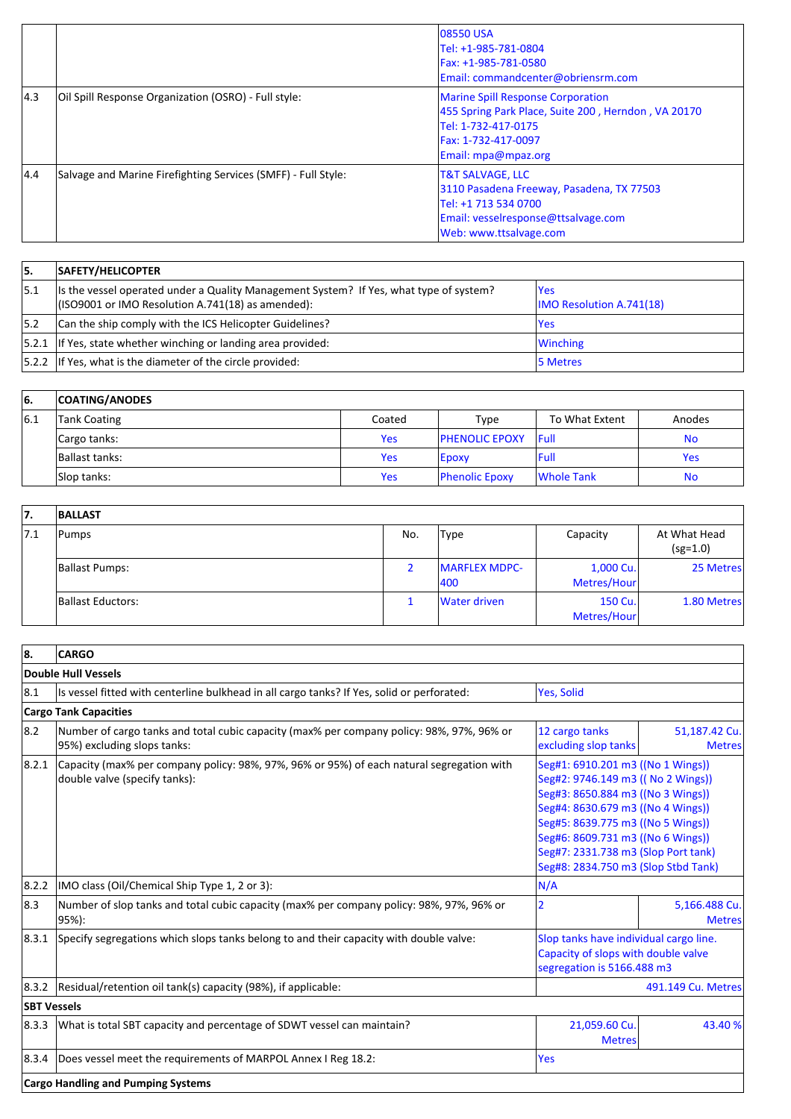|     |                                                               | <b>08550 USA</b><br>Tel: +1-985-781-0804<br>Fax: +1-985-781-0580<br>Email: commandcenter@obriensrm.com                                                               |
|-----|---------------------------------------------------------------|----------------------------------------------------------------------------------------------------------------------------------------------------------------------|
| 4.3 | Oil Spill Response Organization (OSRO) - Full style:          | <b>Marine Spill Response Corporation</b><br>455 Spring Park Place, Suite 200, Herndon, VA 20170<br>Tel: 1-732-417-0175<br>Fax: 1-732-417-0097<br>Email: mpa@mpaz.org |
| 4.4 | Salvage and Marine Firefighting Services (SMFF) - Full Style: | <b>T&amp;T SALVAGE, LLC</b><br>3110 Pasadena Freeway, Pasadena, TX 77503<br>Tel: +1 713 534 0700<br>Email: vesselresponse@ttsalvage.com<br>Web: www.ttsalvage.com    |

| 15.  | SAFETY/HELICOPTER                                                                                                                            |                                         |
|------|----------------------------------------------------------------------------------------------------------------------------------------------|-----------------------------------------|
| 15.1 | Its the vessel operated under a Quality Management System? If Yes, what type of system?<br>(ISO9001 or IMO Resolution A.741(18) as amended): | lYes<br><b>IMO Resolution A.741(18)</b> |
| 15.2 | Can the ship comply with the ICS Helicopter Guidelines?                                                                                      | <b>Yes</b>                              |
|      | $ 5.2.1 $ If Yes, state whether winching or landing area provided:                                                                           | <b>Winching</b>                         |
|      | $ 5.2.2 $ If Yes, what is the diameter of the circle provided:                                                                               | <b>15 Metres</b>                        |

| 66. | <b>COATING/ANODES</b> |            |                        |                |            |
|-----|-----------------------|------------|------------------------|----------------|------------|
| 6.1 | <b>Tank Coating</b>   | Coated     | Type                   | To What Extent | Anodes     |
|     | Cargo tanks:          | <b>Yes</b> | <b>IPHENOLIC EPOXY</b> | <b>IFull</b>   | No         |
|     | Ballast tanks:        | Yes        | <b>Epoxy</b>           | lFull          | <b>Yes</b> |
|     | Slop tanks:           | <b>Yes</b> | <b>Phenolic Epoxy</b>  | Whole Tank     | No         |

| 7.   | <b>BALLAST</b>    |     |                              |                          |                            |
|------|-------------------|-----|------------------------------|--------------------------|----------------------------|
| 17.1 | Pumps             | No. | Type                         | Capacity                 | At What Head<br>$(sg=1.0)$ |
|      | Ballast Pumps:    |     | <b>IMARFLEX MDPC-</b><br>400 | 1,000 Cu.<br>Metres/Hour | 25 Metres                  |
|      | Ballast Eductors: |     | Water driven                 | 150 Cu.<br>Metres/Hour   | 1.80 Metres                |

| 8.                 | <b>CARGO</b>                                                                                                               |                                                                                                                                                                                                                                                                                                           |                                |
|--------------------|----------------------------------------------------------------------------------------------------------------------------|-----------------------------------------------------------------------------------------------------------------------------------------------------------------------------------------------------------------------------------------------------------------------------------------------------------|--------------------------------|
|                    | Double Hull Vessels                                                                                                        |                                                                                                                                                                                                                                                                                                           |                                |
| 8.1                | Is vessel fitted with centerline bulkhead in all cargo tanks? If Yes, solid or perforated:                                 | Yes, Solid                                                                                                                                                                                                                                                                                                |                                |
|                    | <b>Cargo Tank Capacities</b>                                                                                               |                                                                                                                                                                                                                                                                                                           |                                |
| 8.2                | Number of cargo tanks and total cubic capacity (max% per company policy: 98%, 97%, 96% or<br>95%) excluding slops tanks:   | 12 cargo tanks<br>excluding slop tanks                                                                                                                                                                                                                                                                    | 51,187.42 Cu.<br><b>Metres</b> |
| 8.2.1              | Capacity (max% per company policy: 98%, 97%, 96% or 95%) of each natural segregation with<br>double valve (specify tanks): | Seg#1: 6910.201 m3 ((No 1 Wings))<br>Seg#2: 9746.149 m3 (( No 2 Wings))<br>Seg#3: 8650.884 m3 ((No 3 Wings))<br>Seg#4: 8630.679 m3 ((No 4 Wings))<br>Seg#5: 8639.775 m3 ((No 5 Wings))<br>Seg#6: 8609.731 m3 ((No 6 Wings))<br>Seg#7: 2331.738 m3 (Slop Port tank)<br>Seg#8: 2834.750 m3 (Slop Stbd Tank) |                                |
| 8.2.2              | IMO class (Oil/Chemical Ship Type 1, 2 or 3):                                                                              | N/A                                                                                                                                                                                                                                                                                                       |                                |
| 8.3                | Number of slop tanks and total cubic capacity (max% per company policy: 98%, 97%, 96% or<br> 95%):                         | $\overline{2}$                                                                                                                                                                                                                                                                                            | 5,166.488 Cu.<br><b>Metres</b> |
| 8.3.1              | Specify segregations which slops tanks belong to and their capacity with double valve:                                     | Slop tanks have individual cargo line.<br>Capacity of slops with double valve<br>segregation is 5166.488 m3                                                                                                                                                                                               |                                |
| 8.3.2              | Residual/retention oil tank(s) capacity (98%), if applicable:                                                              |                                                                                                                                                                                                                                                                                                           | 491.149 Cu. Metres             |
| <b>SBT Vessels</b> |                                                                                                                            |                                                                                                                                                                                                                                                                                                           |                                |
| 8.3.3              | What is total SBT capacity and percentage of SDWT vessel can maintain?                                                     | 21,059.60 Cu.<br><b>Metres</b>                                                                                                                                                                                                                                                                            | 43.40 %                        |
| 8.3.4              | Does vessel meet the requirements of MARPOL Annex I Reg 18.2:                                                              | Yes                                                                                                                                                                                                                                                                                                       |                                |
|                    | <b>Cargo Handling and Pumping Systems</b>                                                                                  |                                                                                                                                                                                                                                                                                                           |                                |
|                    |                                                                                                                            |                                                                                                                                                                                                                                                                                                           |                                |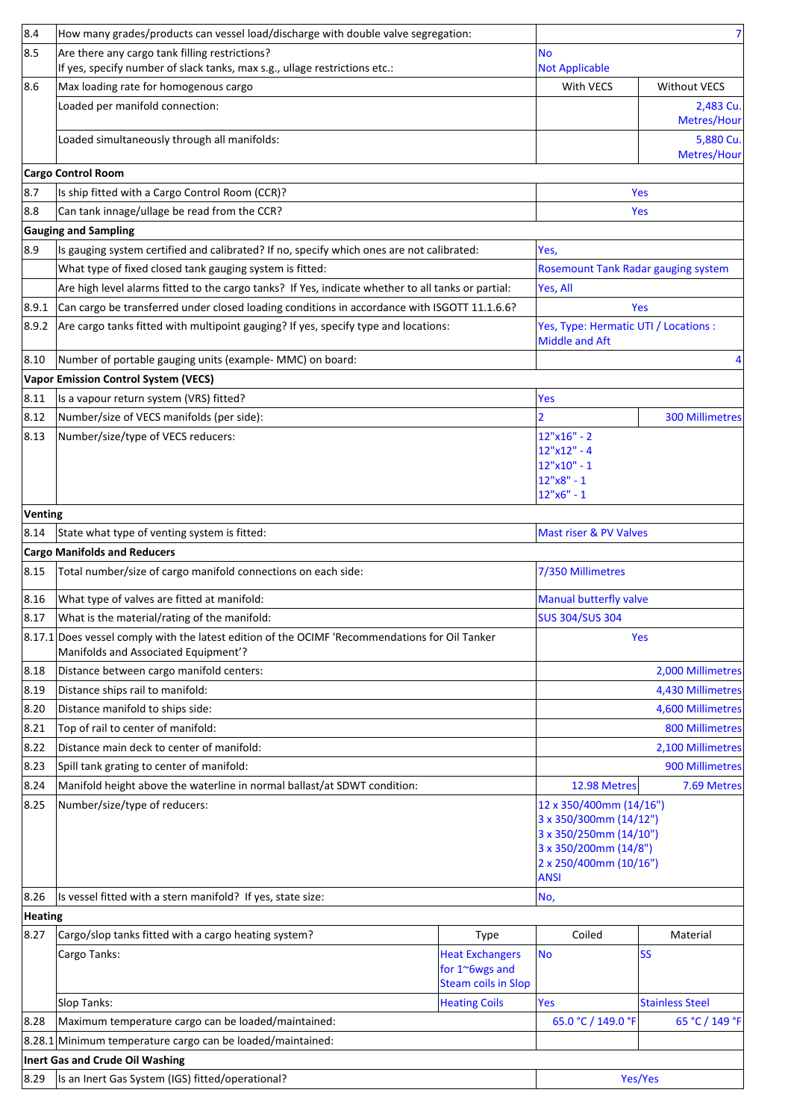| 8.4     | How many grades/products can vessel load/discharge with double valve segregation:                                                      |                                                                        |                                                                                                                                               | $\overline{7}$           |
|---------|----------------------------------------------------------------------------------------------------------------------------------------|------------------------------------------------------------------------|-----------------------------------------------------------------------------------------------------------------------------------------------|--------------------------|
| 8.5     | Are there any cargo tank filling restrictions?                                                                                         |                                                                        | <b>No</b>                                                                                                                                     |                          |
|         | If yes, specify number of slack tanks, max s.g., ullage restrictions etc.:                                                             |                                                                        | <b>Not Applicable</b>                                                                                                                         |                          |
| 8.6     | Max loading rate for homogenous cargo                                                                                                  |                                                                        | With VECS                                                                                                                                     | <b>Without VECS</b>      |
|         | Loaded per manifold connection:                                                                                                        |                                                                        |                                                                                                                                               | 2,483 Cu.<br>Metres/Hour |
|         | Loaded simultaneously through all manifolds:                                                                                           |                                                                        |                                                                                                                                               | 5,880 Cu.<br>Metres/Hour |
|         | <b>Cargo Control Room</b>                                                                                                              |                                                                        |                                                                                                                                               |                          |
| 8.7     | Is ship fitted with a Cargo Control Room (CCR)?                                                                                        |                                                                        |                                                                                                                                               | Yes                      |
| 8.8     | Can tank innage/ullage be read from the CCR?                                                                                           |                                                                        |                                                                                                                                               | Yes                      |
|         | <b>Gauging and Sampling</b>                                                                                                            |                                                                        |                                                                                                                                               |                          |
| 8.9     | Is gauging system certified and calibrated? If no, specify which ones are not calibrated:                                              |                                                                        | Yes,                                                                                                                                          |                          |
|         | What type of fixed closed tank gauging system is fitted:                                                                               |                                                                        | Rosemount Tank Radar gauging system                                                                                                           |                          |
|         | Are high level alarms fitted to the cargo tanks? If Yes, indicate whether to all tanks or partial:                                     |                                                                        | Yes, All                                                                                                                                      |                          |
| 8.9.1   | Can cargo be transferred under closed loading conditions in accordance with ISGOTT 11.1.6.6?                                           |                                                                        |                                                                                                                                               | Yes                      |
| 8.9.2   | Are cargo tanks fitted with multipoint gauging? If yes, specify type and locations:                                                    |                                                                        | Yes, Type: Hermatic UTI / Locations :<br><b>Middle and Aft</b>                                                                                |                          |
| 8.10    | Number of portable gauging units (example- MMC) on board:                                                                              |                                                                        |                                                                                                                                               | 4                        |
|         | <b>Vapor Emission Control System (VECS)</b>                                                                                            |                                                                        |                                                                                                                                               |                          |
| 8.11    | Is a vapour return system (VRS) fitted?                                                                                                |                                                                        | Yes                                                                                                                                           |                          |
| 8.12    | Number/size of VECS manifolds (per side):                                                                                              |                                                                        |                                                                                                                                               | 300 Millimetres          |
| 8.13    | Number/size/type of VECS reducers:                                                                                                     |                                                                        | 12"x16" - 2                                                                                                                                   |                          |
|         |                                                                                                                                        |                                                                        | $12"x12" - 4$<br>12"x10" - 1                                                                                                                  |                          |
|         |                                                                                                                                        |                                                                        | 12"x8" - 1                                                                                                                                    |                          |
|         |                                                                                                                                        |                                                                        | $12"x6" - 1$                                                                                                                                  |                          |
| Venting |                                                                                                                                        |                                                                        |                                                                                                                                               |                          |
| 8.14    | State what type of venting system is fitted:                                                                                           |                                                                        | Mast riser & PV Valves                                                                                                                        |                          |
|         | <b>Cargo Manifolds and Reducers</b>                                                                                                    |                                                                        |                                                                                                                                               |                          |
| 8.15    | Total number/size of cargo manifold connections on each side:                                                                          |                                                                        | 7/350 Millimetres                                                                                                                             |                          |
| 8.16    | What type of valves are fitted at manifold:                                                                                            |                                                                        | <b>Manual butterfly valve</b>                                                                                                                 |                          |
| 8.17    | What is the material/rating of the manifold:                                                                                           |                                                                        | <b>SUS 304/SUS 304</b>                                                                                                                        |                          |
|         | 8.17.1 Does vessel comply with the latest edition of the OCIMF 'Recommendations for Oil Tanker<br>Manifolds and Associated Equipment'? |                                                                        |                                                                                                                                               | Yes                      |
| 8.18    | Distance between cargo manifold centers:                                                                                               |                                                                        |                                                                                                                                               | 2,000 Millimetres        |
| 8.19    | Distance ships rail to manifold:                                                                                                       |                                                                        |                                                                                                                                               | 4,430 Millimetres        |
| 8.20    | Distance manifold to ships side:                                                                                                       |                                                                        |                                                                                                                                               | 4,600 Millimetres        |
| 8.21    | Top of rail to center of manifold:                                                                                                     |                                                                        |                                                                                                                                               | 800 Millimetres          |
| 8.22    | Distance main deck to center of manifold:                                                                                              |                                                                        |                                                                                                                                               | 2,100 Millimetres        |
| 8.23    | Spill tank grating to center of manifold:                                                                                              |                                                                        |                                                                                                                                               | 900 Millimetres          |
| 8.24    | Manifold height above the waterline in normal ballast/at SDWT condition:                                                               |                                                                        | 12.98 Metres                                                                                                                                  | 7.69 Metres              |
| 8.25    | Number/size/type of reducers:                                                                                                          |                                                                        | 12 x 350/400mm (14/16")<br>3 x 350/300mm (14/12")<br>3 x 350/250mm (14/10")<br>3 x 350/200mm (14/8")<br>2 x 250/400mm (10/16")<br><b>ANSI</b> |                          |
| 8.26    | Is vessel fitted with a stern manifold? If yes, state size:                                                                            |                                                                        | No,                                                                                                                                           |                          |
| Heating |                                                                                                                                        |                                                                        |                                                                                                                                               |                          |
| 8.27    | Cargo/slop tanks fitted with a cargo heating system?                                                                                   | Type                                                                   | Coiled                                                                                                                                        | Material                 |
|         | Cargo Tanks:                                                                                                                           | <b>Heat Exchangers</b><br>for 1~6wgs and<br><b>Steam coils in Slop</b> | <b>No</b>                                                                                                                                     | <b>SS</b>                |
|         | Slop Tanks:                                                                                                                            | <b>Heating Coils</b>                                                   | Yes                                                                                                                                           | <b>Stainless Steel</b>   |
| 8.28    | Maximum temperature cargo can be loaded/maintained:                                                                                    |                                                                        | 65.0 °C / 149.0 °F                                                                                                                            | 65 °C / 149 °F           |
|         | 8.28.1 Minimum temperature cargo can be loaded/maintained:                                                                             |                                                                        |                                                                                                                                               |                          |
|         | Inert Gas and Crude Oil Washing                                                                                                        |                                                                        |                                                                                                                                               |                          |
| 8.29    | Is an Inert Gas System (IGS) fitted/operational?                                                                                       |                                                                        |                                                                                                                                               | Yes/Yes                  |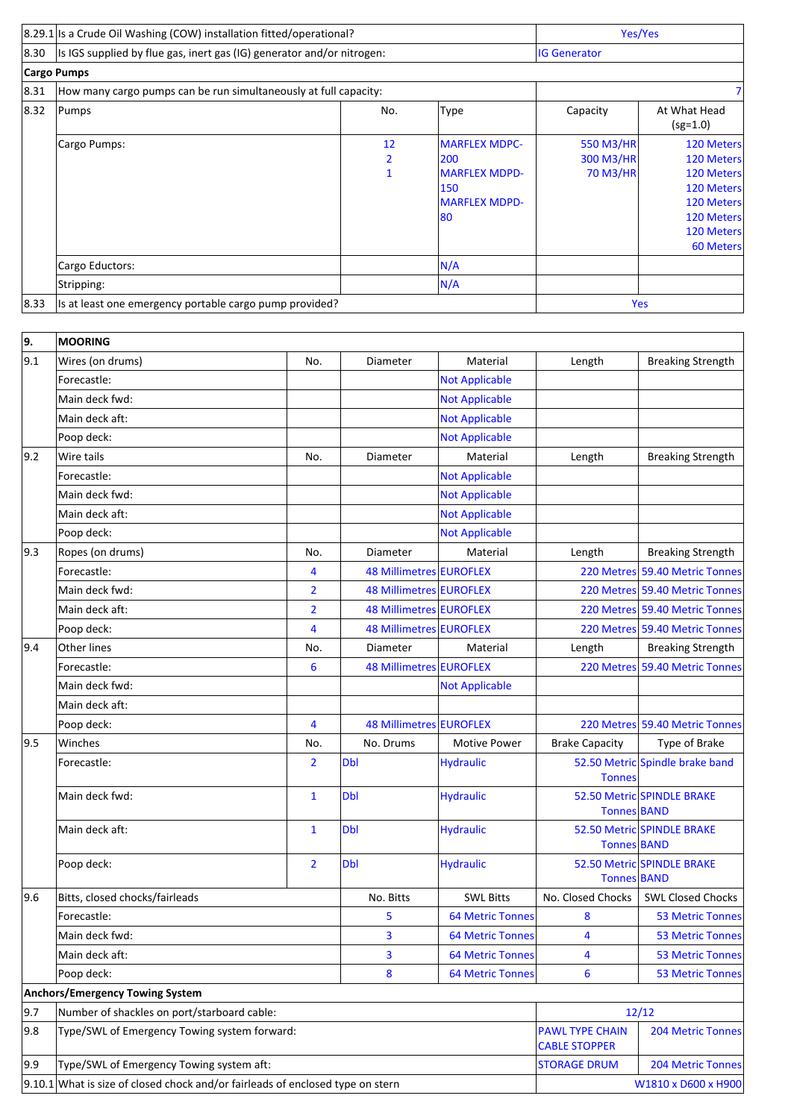|                | 8.29.1 Is a Crude Oil Washing (COW) installation fitted/operational?   |                         |                                                                                           | Yes/Yes                            |                                                                                                                                  |
|----------------|------------------------------------------------------------------------|-------------------------|-------------------------------------------------------------------------------------------|------------------------------------|----------------------------------------------------------------------------------------------------------------------------------|
| $ 8.30\rangle$ | Is IGS supplied by flue gas, inert gas (IG) generator and/or nitrogen: |                         |                                                                                           | <b>IG Generator</b>                |                                                                                                                                  |
|                | Cargo Pumps                                                            |                         |                                                                                           |                                    |                                                                                                                                  |
| 8.31           | How many cargo pumps can be run simultaneously at full capacity:       |                         |                                                                                           |                                    |                                                                                                                                  |
| $ 8.32\rangle$ | Pumps                                                                  | No.                     | Type                                                                                      | Capacity                           | At What Head<br>$(sg=1.0)$                                                                                                       |
|                | Cargo Pumps:                                                           | 12<br>2<br>$\mathbf{1}$ | <b>MARFLEX MDPC-</b><br>200<br><b>MARFLEX MDPD-</b><br>150<br><b>MARFLEX MDPD-</b><br>180 | 550 M3/HR<br>300 M3/HR<br>70 M3/HR | 120 Meters<br><b>120 Meters</b><br><b>120 Meters</b><br>120 Meters<br>120 Meters<br>120 Meters<br><b>120 Meters</b><br>60 Meters |
|                | Cargo Eductors:                                                        |                         | N/A                                                                                       |                                    |                                                                                                                                  |
|                | Stripping:                                                             |                         | N/A                                                                                       |                                    |                                                                                                                                  |
| 8.33           | Is at least one emergency portable cargo pump provided?                |                         |                                                                                           | Yes                                |                                                                                                                                  |
|                |                                                                        |                         |                                                                                           |                                    |                                                                                                                                  |

| 9.  | <b>MOORING</b>                                                                   |                |                                |                         |                                                |                                 |
|-----|----------------------------------------------------------------------------------|----------------|--------------------------------|-------------------------|------------------------------------------------|---------------------------------|
| 9.1 | Wires (on drums)                                                                 | No.            | Diameter                       | Material                | Length                                         | <b>Breaking Strength</b>        |
|     | Forecastle:                                                                      |                |                                | <b>Not Applicable</b>   |                                                |                                 |
|     | Main deck fwd:                                                                   |                |                                | <b>Not Applicable</b>   |                                                |                                 |
|     | Main deck aft:                                                                   |                |                                | <b>Not Applicable</b>   |                                                |                                 |
|     | Poop deck:                                                                       |                |                                | <b>Not Applicable</b>   |                                                |                                 |
| 9.2 | Wire tails                                                                       | No.            | <b>Diameter</b>                | Material                | Length                                         | <b>Breaking Strength</b>        |
|     | Forecastle:                                                                      |                |                                | <b>Not Applicable</b>   |                                                |                                 |
|     | Main deck fwd:                                                                   |                |                                | <b>Not Applicable</b>   |                                                |                                 |
|     | Main deck aft:                                                                   |                |                                | <b>Not Applicable</b>   |                                                |                                 |
|     | Poop deck:                                                                       |                |                                | <b>Not Applicable</b>   |                                                |                                 |
| 9.3 | Ropes (on drums)                                                                 | No.            | Diameter                       | Material                | Length                                         | <b>Breaking Strength</b>        |
|     | Forecastle:                                                                      | 4              | 48 Millimetres EUROFLEX        |                         |                                                | 220 Metres 59.40 Metric Tonnes  |
|     | Main deck fwd:                                                                   | $\overline{2}$ | <b>48 Millimetres EUROFLEX</b> |                         |                                                | 220 Metres 59.40 Metric Tonnes  |
|     | Main deck aft:                                                                   | $\overline{2}$ | 48 Millimetres EUROFLEX        |                         |                                                | 220 Metres 59.40 Metric Tonnes  |
|     | Poop deck:                                                                       | 4              | 48 Millimetres EUROFLEX        |                         |                                                | 220 Metres 59.40 Metric Tonnes  |
| 9.4 | <b>Other lines</b>                                                               | No.            | Diameter                       | Material                | Length                                         | <b>Breaking Strength</b>        |
|     | Forecastle:                                                                      | 6              | 48 Millimetres EUROFLEX        |                         |                                                | 220 Metres 59.40 Metric Tonnes  |
|     | Main deck fwd:                                                                   |                |                                | <b>Not Applicable</b>   |                                                |                                 |
|     | Main deck aft:                                                                   |                |                                |                         |                                                |                                 |
|     | Poop deck:                                                                       | 4              | 48 Millimetres EUROFLEX        |                         |                                                | 220 Metres 59.40 Metric Tonnes  |
| 9.5 | Winches                                                                          | No.            | No. Drums                      | <b>Motive Power</b>     | <b>Brake Capacity</b>                          | Type of Brake                   |
|     | Forecastle:                                                                      | $\overline{2}$ | <b>Dbl</b>                     | <b>Hydraulic</b>        | <b>Tonnes</b>                                  | 52.50 Metric Spindle brake band |
|     | Main deck fwd:                                                                   | $\mathbf{1}$   | <b>Dbl</b>                     | <b>Hydraulic</b>        | Tonnes BAND                                    | 52.50 Metric SPINDLE BRAKE      |
|     | Main deck aft:                                                                   | $\mathbf{1}$   | <b>Dbl</b>                     | <b>Hydraulic</b>        | <b>Tonnes BAND</b>                             | 52.50 Metric SPINDLE BRAKE      |
|     | Poop deck:                                                                       | $\overline{2}$ | <b>Dbl</b>                     | <b>Hydraulic</b>        | Tonnes BAND                                    | 52.50 Metric SPINDLE BRAKE      |
| 9.6 | Bitts, closed chocks/fairleads                                                   |                | No. Bitts                      | <b>SWL Bitts</b>        | No. Closed Chocks                              | <b>SWL Closed Chocks</b>        |
|     | Forecastle:                                                                      |                | 5                              | <b>64 Metric Tonnes</b> | 8                                              | <b>53 Metric Tonnes</b>         |
|     | Main deck fwd:                                                                   |                | 3                              | <b>64 Metric Tonnes</b> | 4                                              | 53 Metric Tonnes                |
|     | Main deck aft:                                                                   |                | 3                              | <b>64 Metric Tonnes</b> | 4                                              | <b>53 Metric Tonnes</b>         |
|     | Poop deck:                                                                       |                | 8                              | <b>64 Metric Tonnes</b> | $6\phantom{1}6$                                | <b>53 Metric Tonnes</b>         |
|     | Anchors/Emergency Towing System                                                  |                |                                |                         |                                                |                                 |
| 9.7 | Number of shackles on port/starboard cable:                                      |                |                                |                         |                                                | 12/12                           |
| 9.8 | Type/SWL of Emergency Towing system forward:                                     |                |                                |                         | <b>PAWL TYPE CHAIN</b><br><b>CABLE STOPPER</b> | <b>204 Metric Tonnes</b>        |
| 9.9 | Type/SWL of Emergency Towing system aft:                                         |                |                                |                         | <b>STORAGE DRUM</b>                            | <b>204 Metric Tonnes</b>        |
|     | $9.10.1$ What is size of closed chock and/or fairleads of enclosed type on stern |                |                                |                         |                                                | W1810 x D600 x H900             |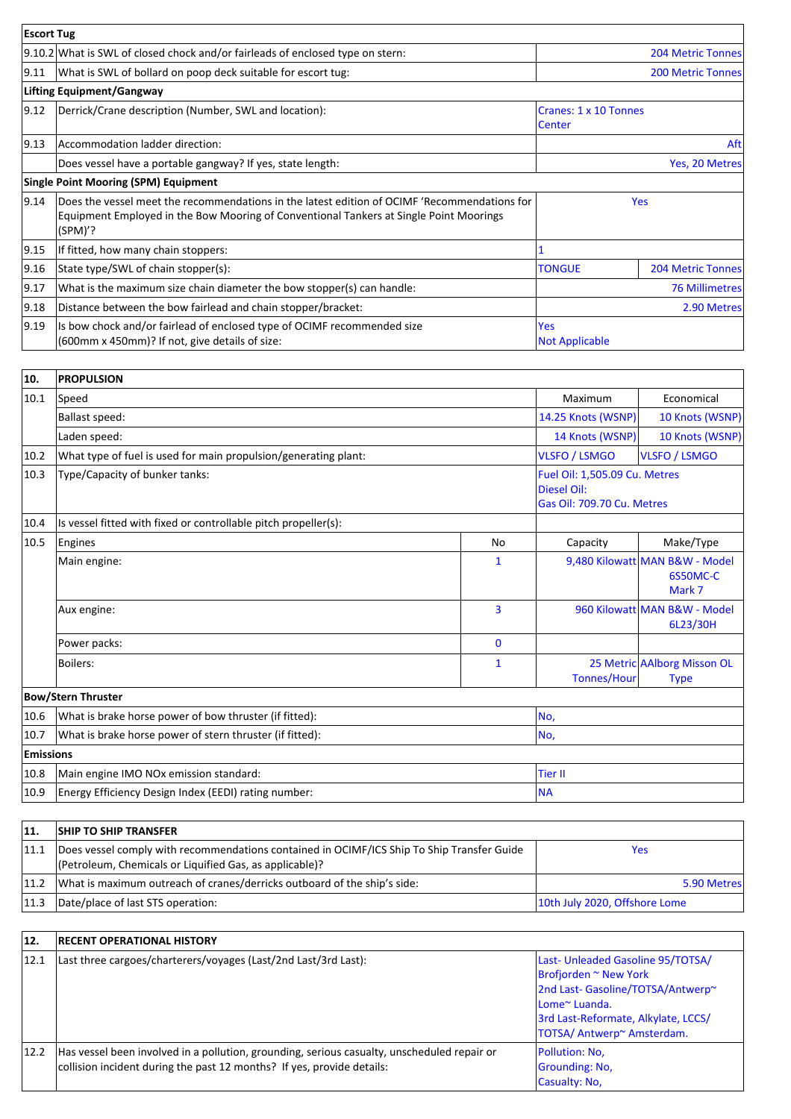| <b>Escort Tug</b> |                                                                                                                                                                                                     |                                     |                          |
|-------------------|-----------------------------------------------------------------------------------------------------------------------------------------------------------------------------------------------------|-------------------------------------|--------------------------|
|                   | 9.10.2 What is SWL of closed chock and/or fairleads of enclosed type on stern:                                                                                                                      |                                     | <b>204 Metric Tonnes</b> |
| 9.11              | What is SWL of bollard on poop deck suitable for escort tug:                                                                                                                                        |                                     | <b>200 Metric Tonnes</b> |
|                   | Lifting Equipment/Gangway                                                                                                                                                                           |                                     |                          |
| $ 9.12\rangle$    | Derrick/Crane description (Number, SWL and location):                                                                                                                                               | Cranes: 1 x 10 Tonnes<br>Center     |                          |
| 9.13              | Accommodation ladder direction:                                                                                                                                                                     | Aft                                 |                          |
|                   | Does vessel have a portable gangway? If yes, state length:                                                                                                                                          |                                     | Yes, 20 Metres           |
|                   | <b>Single Point Mooring (SPM) Equipment</b>                                                                                                                                                         |                                     |                          |
| 9.14              | Does the vessel meet the recommendations in the latest edition of OCIMF 'Recommendations for<br>Equipment Employed in the Bow Mooring of Conventional Tankers at Single Point Moorings<br>$(SPM)$ ? |                                     | <b>Yes</b>               |
| 9.15              | If fitted, how many chain stoppers:                                                                                                                                                                 |                                     |                          |
| 9.16              | State type/SWL of chain stopper(s):                                                                                                                                                                 | <b>TONGUE</b>                       | 204 Metric Tonnes        |
| 9.17              | What is the maximum size chain diameter the bow stopper(s) can handle:                                                                                                                              |                                     | <b>76 Millimetres</b>    |
| 9.18              | Distance between the bow fairlead and chain stopper/bracket:                                                                                                                                        |                                     | 2.90 Metres              |
| 9.19              | Is bow chock and/or fairlead of enclosed type of OCIMF recommended size<br>(600mm x 450mm)? If not, give details of size:                                                                           | <b>Yes</b><br><b>Not Applicable</b> |                          |

| 10.              | <b>PROPULSION</b>                                               |                                                                            |                      |                                                      |  |
|------------------|-----------------------------------------------------------------|----------------------------------------------------------------------------|----------------------|------------------------------------------------------|--|
| 10.1             | Speed                                                           |                                                                            | Maximum              | Economical                                           |  |
|                  | <b>Ballast speed:</b>                                           |                                                                            | 14.25 Knots (WSNP)   | 10 Knots (WSNP)                                      |  |
|                  | Laden speed:                                                    | 14 Knots (WSNP)                                                            | 10 Knots (WSNP)      |                                                      |  |
| 10.2             | What type of fuel is used for main propulsion/generating plant: |                                                                            | <b>VLSFO / LSMGO</b> | <b>VLSFO / LSMGO</b>                                 |  |
| 10.3             | Type/Capacity of bunker tanks:                                  | Fuel Oil: 1,505.09 Cu. Metres<br>Diesel Oil:<br>Gas Oil: 709.70 Cu. Metres |                      |                                                      |  |
| 10.4             | Is vessel fitted with fixed or controllable pitch propeller(s): |                                                                            |                      |                                                      |  |
| 10.5             | Engines                                                         | <b>No</b>                                                                  | Capacity             | Make/Type                                            |  |
|                  | Main engine:                                                    | $\mathbf{1}$                                                               |                      | 9,480 Kilowatt MAN B&W - Model<br>6S50MC-C<br>Mark 7 |  |
|                  | Aux engine:                                                     | 3                                                                          |                      | 960 Kilowatt MAN B&W - Model<br>6L23/30H             |  |
|                  | Power packs:                                                    | $\mathbf{0}$                                                               |                      |                                                      |  |
|                  | <b>Boilers:</b>                                                 | $\mathbf{1}$                                                               | <b>Tonnes/Hour</b>   | 25 Metric AAlborg Misson OL<br><b>Type</b>           |  |
|                  | <b>Bow/Stern Thruster</b>                                       |                                                                            |                      |                                                      |  |
| 10.6             | What is brake horse power of bow thruster (if fitted):          |                                                                            | No,                  |                                                      |  |
| 10.7             | What is brake horse power of stern thruster (if fitted):        |                                                                            | No,                  |                                                      |  |
| <b>Emissions</b> |                                                                 |                                                                            |                      |                                                      |  |
| 10.8             | Main engine IMO NOx emission standard:                          | <b>Tier II</b>                                                             |                      |                                                      |  |
| 10.9             | Energy Efficiency Design Index (EEDI) rating number:            | <b>NA</b>                                                                  |                      |                                                      |  |

| 11.  | <b>SHIP TO SHIP TRANSFER</b>                                                                                                                          |                               |
|------|-------------------------------------------------------------------------------------------------------------------------------------------------------|-------------------------------|
| 11.1 | Does vessel comply with recommendations contained in OCIMF/ICS Ship To Ship Transfer Guide<br>(Petroleum, Chemicals or Liquified Gas, as applicable)? | Yes                           |
| 11.2 | What is maximum outreach of cranes/derricks outboard of the ship's side:                                                                              | 5.90 Metres                   |
| 11.3 | Date/place of last STS operation:                                                                                                                     | 10th July 2020, Offshore Lome |

| 12.  | <b>RECENT OPERATIONAL HISTORY</b>                                                                                                                                     |                                                                                                                                                                                              |
|------|-----------------------------------------------------------------------------------------------------------------------------------------------------------------------|----------------------------------------------------------------------------------------------------------------------------------------------------------------------------------------------|
| 12.1 | Last three cargoes/charterers/voyages (Last/2nd Last/3rd Last):                                                                                                       | Last-Unleaded Gasoline 95/TOTSA/<br><b>Brofjorden ~ New York</b><br>2nd Last- Gasoline/TOTSA/Antwerp~<br>lLome~ Luanda.<br>3rd Last-Reformate, Alkylate, LCCS/<br>TOTSA/ Antwerp~ Amsterdam. |
| 12.2 | Has vessel been involved in a pollution, grounding, serious casualty, unscheduled repair or<br>collision incident during the past 12 months? If yes, provide details: | Pollution: No.<br>Grounding: No.<br>Casualty: No.                                                                                                                                            |